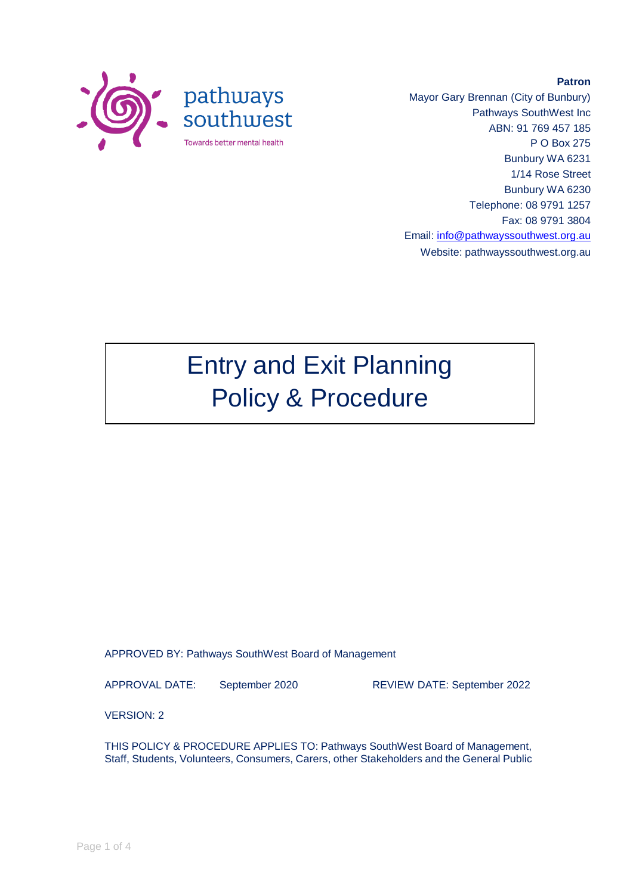

Mayor Gary Brennan (City of Bunbury) Pathways SouthWest Inc ABN: 91 769 457 185 P O Box 275 Bunbury WA 6231 1/14 Rose Street Bunbury WA 6230 Telephone: 08 9791 1257 Fax: 08 9791 3804 Email: [info@pathwayssouthwest.org.au](mailto:info@pathwayssouthwest.org.au) Website: pathwayssouthwest.org.au

**Patron**

# Entry and Exit Planning Policy & Procedure

APPROVED BY: Pathways SouthWest Board of Management

APPROVAL DATE: September 2020 REVIEW DATE: September 2022

VERSION: 2

THIS POLICY & PROCEDURE APPLIES TO: Pathways SouthWest Board of Management, Staff, Students, Volunteers, Consumers, Carers, other Stakeholders and the General Public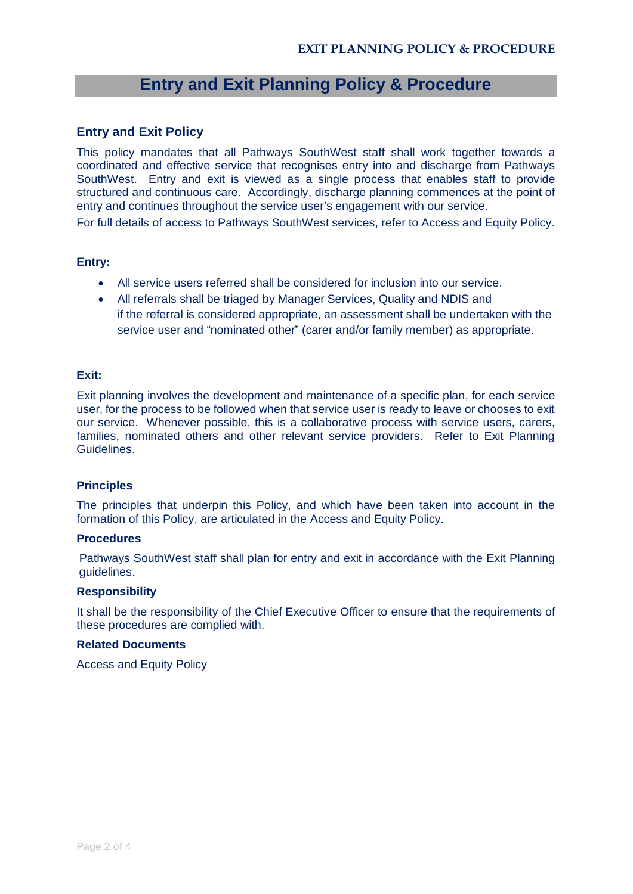## **Entry and Exit Planning Policy & Procedure**

## **Entry and Exit Policy**

This policy mandates that all Pathways SouthWest staff shall work together towards a coordinated and effective service that recognises entry into and discharge from Pathways SouthWest. Entry and exit is viewed as a single process that enables staff to provide structured and continuous care. Accordingly, discharge planning commences at the point of entry and continues throughout the service user's engagement with our service.

For full details of access to Pathways SouthWest services, refer to Access and Equity Policy.

## **Entry:**

- All service users referred shall be considered for inclusion into our service.
- All referrals shall be triaged by Manager Services, Quality and NDIS and if the referral is considered appropriate, an assessment shall be undertaken with the service user and "nominated other" (carer and/or family member) as appropriate.

## **Exit:**

Exit planning involves the development and maintenance of a specific plan, for each service user, for the process to be followed when that service user is ready to leave or chooses to exit our service. Whenever possible, this is a collaborative process with service users, carers, families, nominated others and other relevant service providers. Refer to Exit Planning Guidelines.

## **Principles**

The principles that underpin this Policy, and which have been taken into account in the formation of this Policy, are articulated in the Access and Equity Policy.

## **Procedures**

Pathways SouthWest staff shall plan for entry and exit in accordance with the Exit Planning guidelines.

## **Responsibility**

It shall be the responsibility of the Chief Executive Officer to ensure that the requirements of these procedures are complied with.

## **Related Documents**

Access and Equity Policy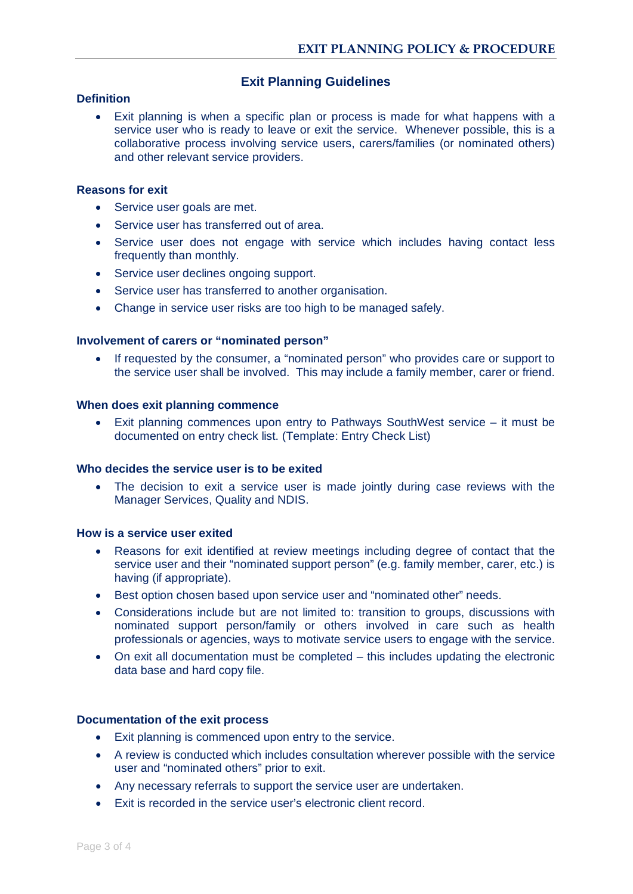## **Exit Planning Guidelines**

## **Definition**

• Exit planning is when a specific plan or process is made for what happens with a service user who is ready to leave or exit the service. Whenever possible, this is a collaborative process involving service users, carers/families (or nominated others) and other relevant service providers.

## **Reasons for exit**

- Service user goals are met.
- Service user has transferred out of area.
- Service user does not engage with service which includes having contact less frequently than monthly.
- Service user declines ongoing support.
- Service user has transferred to another organisation.
- Change in service user risks are too high to be managed safely.

## **Involvement of carers or "nominated person"**

• If requested by the consumer, a "nominated person" who provides care or support to the service user shall be involved. This may include a family member, carer or friend.

## **When does exit planning commence**

• Exit planning commences upon entry to Pathways SouthWest service – it must be documented on entry check list. (Template: Entry Check List)

## **Who decides the service user is to be exited**

The decision to exit a service user is made jointly during case reviews with the Manager Services, Quality and NDIS.

## **How is a service user exited**

- Reasons for exit identified at review meetings including degree of contact that the service user and their "nominated support person" (e.g. family member, carer, etc.) is having (if appropriate).
- Best option chosen based upon service user and "nominated other" needs.
- Considerations include but are not limited to: transition to groups, discussions with nominated support person/family or others involved in care such as health professionals or agencies, ways to motivate service users to engage with the service.
- On exit all documentation must be completed this includes updating the electronic data base and hard copy file.

## **Documentation of the exit process**

- Exit planning is commenced upon entry to the service.
- A review is conducted which includes consultation wherever possible with the service user and "nominated others" prior to exit.
- Any necessary referrals to support the service user are undertaken.
- Exit is recorded in the service user's electronic client record.